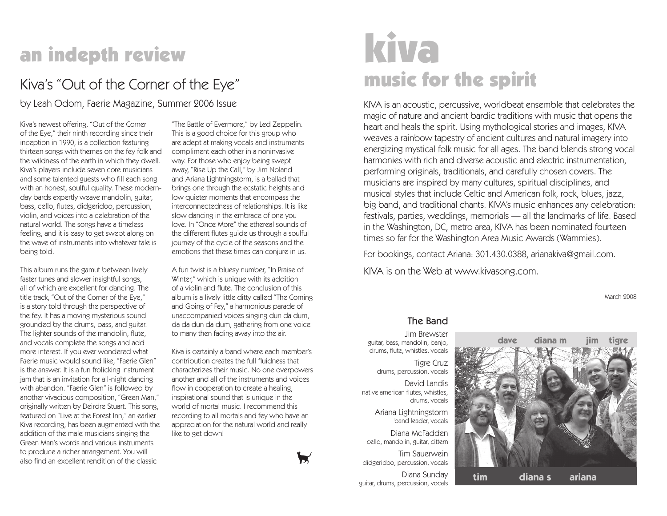# an indepth review

## Kiva's "Out of the Corner of the Eye"

by Leah Odom, Faerie Magazine, Summer 2006 Issue

Kiva's newest offering, "Out of the Corner of the Eye," their ninth recording since their inception in 1990, is a collection featuring thirteen songs with themes on the fey folk and the wildness of the earth in which they dwell. Kiva's players include seven core musicians and some talented guests who fill each song with an honest, soulful quality. These modernday bards expertly weave mandolin, guitar, bass, cello, flutes, didgeridoo, percussion, violin, and voices into a celebration of the natural world. The songs have a timeless feeling, and it is easy to get swept along on the wave of instruments into whatever tale is being told.

This album runs the gamut between lively faster tunes and slower insightful songs, all of which are excellent for dancing. The title track, "Out of the Corner of the Eye," is a story told through the perspective of the fey. It has a moving mysterious sound grounded by the drums, bass, and guitar. The lighter sounds of the mandolin, flute, and vocals complete the songs and add more interest. If you ever wondered what Faerie music would sound like, "Faerie Glen" is the answer. It is a fun frolicking instrument jam that is an invitation for all-night dancing with abandon. "Faerie Glen" is followed by another vivacious composition, "Green Man," originally written by Deirdre Stuart. This song, featured on "Live at the Forest Inn," an earlier Kiva recording, has been augmented with the addition of the male musicians singing the Green Man's words and various instruments to produce a richer arrangement. You will also find an excellent rendition of the classic

"The Battle of Evermore," by Led Zeppelin. This is a good choice for this group who are adept at making vocals and instruments compliment each other in a noninvasive way. For those who enjoy being swept away, "Rise Up the Call," by Jim Noland and Ariana Lightningstorm, is a ballad that brings one through the ecstatic heights and low quieter moments that encompass the interconnectedness of relationships. It is like slow dancing in the embrace of one you love. In "Once More" the ethereal sounds of the different flutes guide us through a soulful journey of the cycle of the seasons and the emotions that these times can conjure in us.

A fun twist is a bluesy number, "In Praise of Winter," which is unique with its addition of a violin and flute. The conclusion of this album is a lively little ditty called "The Coming and Going of Fey," a harmonious parade of unaccompanied voices singing dun da dum, da da dun da dum, gathering from one voice to many then fading away into the air.

Kiva is certainly a band where each member's contribution creates the full fluidness that characterizes their music. No one overpowers another and all of the instruments and voices flow in cooperation to create a healing, inspirational sound that is unique in the world of mortal music. I recommend this recording to all mortals and fey who have an appreciation for the natural world and really like to get down!



# kiva music for the spirit

KIVA is an acoustic, percussive, worldbeat ensemble that celebrates the magic of nature and ancient bardic traditions with music that opens the heart and heals the spirit. Using mythological stories and images, KIVA weaves a rainbow tapestry of ancient cultures and natural imagery into energizing mystical folk music for all ages. The band blends strong vocal harmonies with rich and diverse acoustic and electric instrumentation, performing originals, traditionals, and carefully chosen covers. The musicians are inspired by many cultures, spiritual disciplines, and musical styles that include Celtic and American folk, rock, blues, jazz, big band, and traditional chants. KIVA's music enhances any celebration: festivals, parties, weddings, memorials — all the landmarks of life. Based in the Washington, DC, metro area, KIVA has been nominated fourteen times so far for the Washington Area Music Awards (Wammies).

For bookings, contact Ariana: 301.430.0388, arianakiva@gmail.com.

KIVA is on the Web at www.kivasong.com.

March 2008

#### The Band

Jim Brewster guitar, bass, mandolin, banjo, drums, flute, whistles, vocals

Tigre Cruz drums, percussion, vocals

David Landis native american flutes, whistles, drums, vocals

> Ariana Lightningstorm band leader, vocals

Diana McFadden cello, mandolin, guitar, cittern

Tim Sauerwein didgeridoo, percussion, vocals

Diana Sunday guitar, drums, percussion, vocals